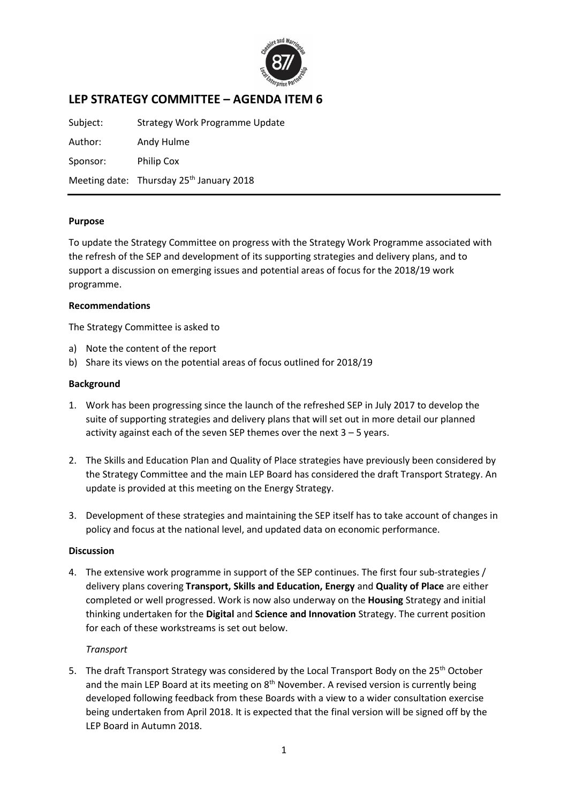

# **LEP STRATEGY COMMITTEE – AGENDA ITEM 6**

Subject: Strategy Work Programme Update Author: Andy Hulme Sponsor: Philip Cox Meeting date: Thursday 25<sup>th</sup> January 2018

#### **Purpose**

To update the Strategy Committee on progress with the Strategy Work Programme associated with the refresh of the SEP and development of its supporting strategies and delivery plans, and to support a discussion on emerging issues and potential areas of focus for the 2018/19 work programme.

#### **Recommendations**

The Strategy Committee is asked to

- a) Note the content of the report
- b) Share its views on the potential areas of focus outlined for 2018/19

#### **Background**

- 1. Work has been progressing since the launch of the refreshed SEP in July 2017 to develop the suite of supporting strategies and delivery plans that will set out in more detail our planned activity against each of the seven SEP themes over the next  $3 - 5$  years.
- 2. The Skills and Education Plan and Quality of Place strategies have previously been considered by the Strategy Committee and the main LEP Board has considered the draft Transport Strategy. An update is provided at this meeting on the Energy Strategy.
- 3. Development of these strategies and maintaining the SEP itself has to take account of changes in policy and focus at the national level, and updated data on economic performance.

#### **Discussion**

4. The extensive work programme in support of the SEP continues. The first four sub-strategies / delivery plans covering **Transport, Skills and Education, Energy** and **Quality of Place** are either completed or well progressed. Work is now also underway on the **Housing** Strategy and initial thinking undertaken for the **Digital** and **Science and Innovation** Strategy. The current position for each of these workstreams is set out below.

#### *Transport*

5. The draft Transport Strategy was considered by the Local Transport Body on the  $25<sup>th</sup>$  October and the main LEP Board at its meeting on  $8<sup>th</sup>$  November. A revised version is currently being developed following feedback from these Boards with a view to a wider consultation exercise being undertaken from April 2018. It is expected that the final version will be signed off by the LEP Board in Autumn 2018.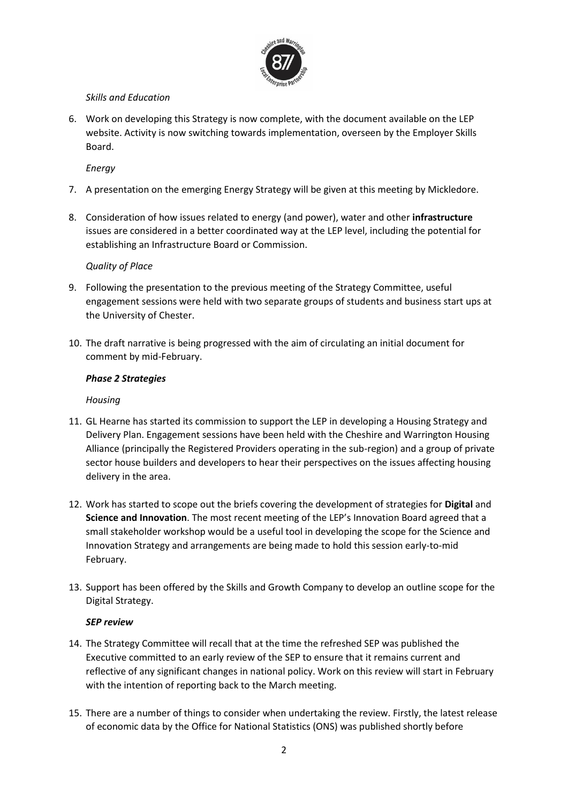

## *Skills and Education*

6. Work on developing this Strategy is now complete, with the document available on the LEP website. Activity is now switching towards implementation, overseen by the Employer Skills Board.

*Energy*

- 7. A presentation on the emerging Energy Strategy will be given at this meeting by Mickledore.
- 8. Consideration of how issues related to energy (and power), water and other **infrastructure** issues are considered in a better coordinated way at the LEP level, including the potential for establishing an Infrastructure Board or Commission.

### *Quality of Place*

- 9. Following the presentation to the previous meeting of the Strategy Committee, useful engagement sessions were held with two separate groups of students and business start ups at the University of Chester.
- 10. The draft narrative is being progressed with the aim of circulating an initial document for comment by mid-February.

### *Phase 2 Strategies*

### *Housing*

- 11. GL Hearne has started its commission to support the LEP in developing a Housing Strategy and Delivery Plan. Engagement sessions have been held with the Cheshire and Warrington Housing Alliance (principally the Registered Providers operating in the sub-region) and a group of private sector house builders and developers to hear their perspectives on the issues affecting housing delivery in the area.
- 12. Work has started to scope out the briefs covering the development of strategies for **Digital** and **Science and Innovation**. The most recent meeting of the LEP's Innovation Board agreed that a small stakeholder workshop would be a useful tool in developing the scope for the Science and Innovation Strategy and arrangements are being made to hold this session early-to-mid February.
- 13. Support has been offered by the Skills and Growth Company to develop an outline scope for the Digital Strategy.

### *SEP review*

- 14. The Strategy Committee will recall that at the time the refreshed SEP was published the Executive committed to an early review of the SEP to ensure that it remains current and reflective of any significant changes in national policy. Work on this review will start in February with the intention of reporting back to the March meeting.
- 15. There are a number of things to consider when undertaking the review. Firstly, the latest release of economic data by the Office for National Statistics (ONS) was published shortly before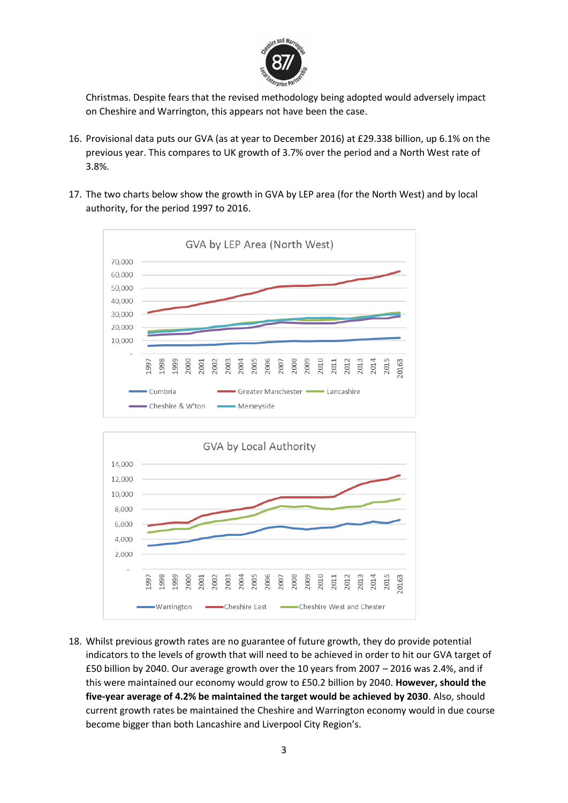

Christmas. Despite fears that the revised methodology being adopted would adversely impact on Cheshire and Warrington, this appears not have been the case.

- 16. Provisional data puts our GVA (as at year to December 2016) at £29.338 billion, up 6.1% on the previous year. This compares to UK growth of 3.7% over the period and a North West rate of 3.8%.
- 17. The two charts below show the growth in GVA by LEP area (for the North West) and by local authority, for the period 1997 to 2016.





18. Whilst previous growth rates are no guarantee of future growth, they do provide potential indicators to the levels of growth that will need to be achieved in order to hit our GVA target of £50 billion by 2040. Our average growth over the 10 years from 2007 – 2016 was 2.4%, and if this were maintained our economy would grow to £50.2 billion by 2040. **However, should the five-year average of 4.2% be maintained the target would be achieved by 2030**. Also, should current growth rates be maintained the Cheshire and Warrington economy would in due course become bigger than both Lancashire and Liverpool City Region's.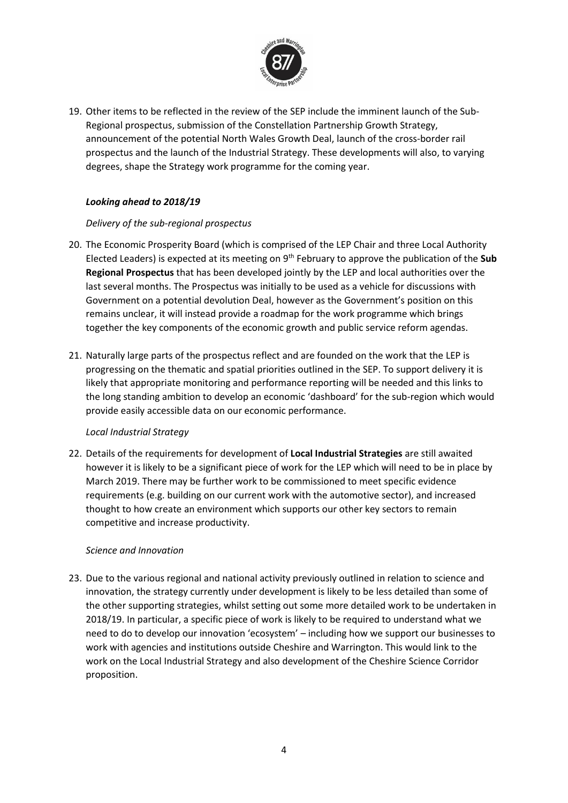

19. Other items to be reflected in the review of the SEP include the imminent launch of the Sub-Regional prospectus, submission of the Constellation Partnership Growth Strategy, announcement of the potential North Wales Growth Deal, launch of the cross-border rail prospectus and the launch of the Industrial Strategy. These developments will also, to varying degrees, shape the Strategy work programme for the coming year.

# *Looking ahead to 2018/19*

### *Delivery of the sub-regional prospectus*

- 20. The Economic Prosperity Board (which is comprised of the LEP Chair and three Local Authority Elected Leaders) is expected at its meeting on 9th February to approve the publication of the **Sub Regional Prospectus** that has been developed jointly by the LEP and local authorities over the last several months. The Prospectus was initially to be used as a vehicle for discussions with Government on a potential devolution Deal, however as the Government's position on this remains unclear, it will instead provide a roadmap for the work programme which brings together the key components of the economic growth and public service reform agendas.
- 21. Naturally large parts of the prospectus reflect and are founded on the work that the LEP is progressing on the thematic and spatial priorities outlined in the SEP. To support delivery it is likely that appropriate monitoring and performance reporting will be needed and this links to the long standing ambition to develop an economic 'dashboard' for the sub-region which would provide easily accessible data on our economic performance.

# *Local Industrial Strategy*

22. Details of the requirements for development of **Local Industrial Strategies** are still awaited however it is likely to be a significant piece of work for the LEP which will need to be in place by March 2019. There may be further work to be commissioned to meet specific evidence requirements (e.g. building on our current work with the automotive sector), and increased thought to how create an environment which supports our other key sectors to remain competitive and increase productivity.

# *Science and Innovation*

23. Due to the various regional and national activity previously outlined in relation to science and innovation, the strategy currently under development is likely to be less detailed than some of the other supporting strategies, whilst setting out some more detailed work to be undertaken in 2018/19. In particular, a specific piece of work is likely to be required to understand what we need to do to develop our innovation 'ecosystem' – including how we support our businesses to work with agencies and institutions outside Cheshire and Warrington. This would link to the work on the Local Industrial Strategy and also development of the Cheshire Science Corridor proposition.